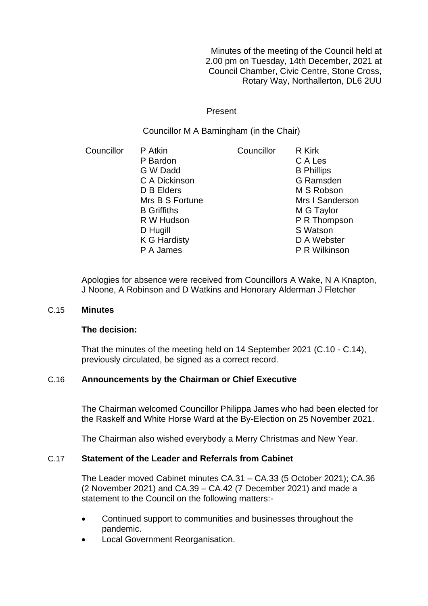Minutes of the meeting of the Council held at 2.00 pm on Tuesday, 14th December, 2021 at Council Chamber, Civic Centre, Stone Cross, Rotary Way, Northallerton, DL6 2UU

Present

Councillor M A Barningham (in the Chair)

Councillor P Atkin P Bardon G W Dadd C A Dickinson D B Elders Mrs B S Fortune B Griffiths R W Hudson D Hugill K G Hardisty P A James Councillor R Kirk C A Les B Phillips G Ramsden M S Robson Mrs I Sanderson M G Taylor P R Thompson S Watson D A Webster P R Wilkinson

Apologies for absence were received from Councillors A Wake, N A Knapton, J Noone, A Robinson and D Watkins and Honorary Alderman J Fletcher

#### C.15 **Minutes**

## **The decision:**

That the minutes of the meeting held on 14 September 2021 (C.10 - C.14), previously circulated, be signed as a correct record.

## C.16 **Announcements by the Chairman or Chief Executive**

The Chairman welcomed Councillor Philippa James who had been elected for the Raskelf and White Horse Ward at the By-Election on 25 November 2021.

The Chairman also wished everybody a Merry Christmas and New Year.

## C.17 **Statement of the Leader and Referrals from Cabinet**

The Leader moved Cabinet minutes CA.31 – CA.33 (5 October 2021); CA.36 (2 November 2021) and CA.39 – CA.42 (7 December 2021) and made a statement to the Council on the following matters:-

- Continued support to communities and businesses throughout the pandemic.
- Local Government Reorganisation.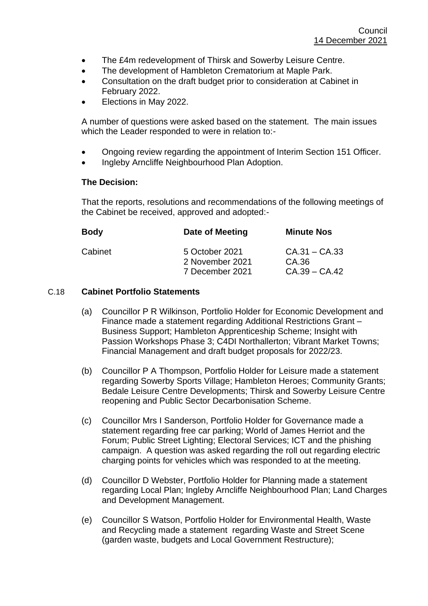- The £4m redevelopment of Thirsk and Sowerby Leisure Centre.
- The development of Hambleton Crematorium at Maple Park.
- Consultation on the draft budget prior to consideration at Cabinet in February 2022.
- Elections in May 2022.

A number of questions were asked based on the statement. The main issues which the Leader responded to were in relation to:-

- Ongoing review regarding the appointment of Interim Section 151 Officer.
- Ingleby Arncliffe Neighbourhood Plan Adoption.

## **The Decision:**

That the reports, resolutions and recommendations of the following meetings of the Cabinet be received, approved and adopted:-

| Date of Meeting                   | <b>Minute Nos</b>        |
|-----------------------------------|--------------------------|
| 5 October 2021<br>2 November 2021 | $CA.31 - CA.33$<br>CA.36 |
| 7 December 2021                   | $CA.39 - CA.42$          |
|                                   |                          |

# C.18 **Cabinet Portfolio Statements**

- (a) Councillor P R Wilkinson, Portfolio Holder for Economic Development and Finance made a statement regarding Additional Restrictions Grant – Business Support; Hambleton Apprenticeship Scheme; Insight with Passion Workshops Phase 3; C4DI Northallerton; Vibrant Market Towns; Financial Management and draft budget proposals for 2022/23.
- (b) Councillor P A Thompson, Portfolio Holder for Leisure made a statement regarding Sowerby Sports Village; Hambleton Heroes; Community Grants; Bedale Leisure Centre Developments; Thirsk and Sowerby Leisure Centre reopening and Public Sector Decarbonisation Scheme.
- (c) Councillor Mrs I Sanderson, Portfolio Holder for Governance made a statement regarding free car parking; World of James Herriot and the Forum; Public Street Lighting; Electoral Services; ICT and the phishing campaign. A question was asked regarding the roll out regarding electric charging points for vehicles which was responded to at the meeting.
- (d) Councillor D Webster, Portfolio Holder for Planning made a statement regarding Local Plan; Ingleby Arncliffe Neighbourhood Plan; Land Charges and Development Management.
- (e) Councillor S Watson, Portfolio Holder for Environmental Health, Waste and Recycling made a statement regarding Waste and Street Scene (garden waste, budgets and Local Government Restructure);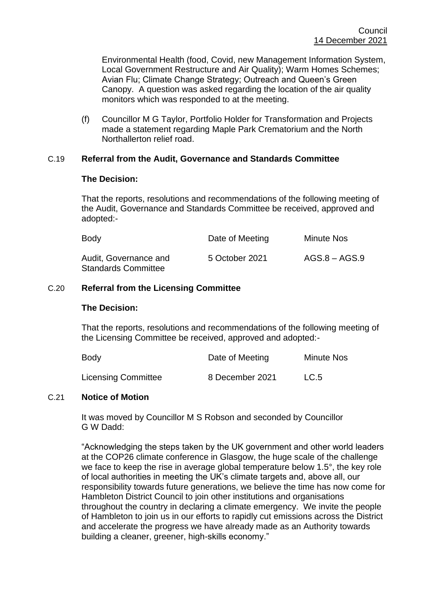Environmental Health (food, Covid, new Management Information System, Local Government Restructure and Air Quality); Warm Homes Schemes; Avian Flu; Climate Change Strategy; Outreach and Queen's Green Canopy. A question was asked regarding the location of the air quality monitors which was responded to at the meeting.

(f) Councillor M G Taylor, Portfolio Holder for Transformation and Projects made a statement regarding Maple Park Crematorium and the North Northallerton relief road.

## C.19 **Referral from the Audit, Governance and Standards Committee**

### **The Decision:**

That the reports, resolutions and recommendations of the following meeting of the Audit, Governance and Standards Committee be received, approved and adopted:-

| Body                                                | Date of Meeting | <b>Minute Nos</b> |
|-----------------------------------------------------|-----------------|-------------------|
| Audit, Governance and<br><b>Standards Committee</b> | 5 October 2021  | $AGS.8 - AGS.9$   |

### C.20 **Referral from the Licensing Committee**

#### **The Decision:**

That the reports, resolutions and recommendations of the following meeting of the Licensing Committee be received, approved and adopted:-

| Body                       | Date of Meeting | <b>Minute Nos</b> |
|----------------------------|-----------------|-------------------|
| <b>Licensing Committee</b> | 8 December 2021 | LC.5              |

## C.21 **Notice of Motion**

It was moved by Councillor M S Robson and seconded by Councillor G W Dadd:

"Acknowledging the steps taken by the UK government and other world leaders at the COP26 climate conference in Glasgow, the huge scale of the challenge we face to keep the rise in average global temperature below 1.5°, the key role of local authorities in meeting the UK's climate targets and, above all, our responsibility towards future generations, we believe the time has now come for Hambleton District Council to join other institutions and organisations throughout the country in declaring a climate emergency. We invite the people of Hambleton to join us in our efforts to rapidly cut emissions across the District and accelerate the progress we have already made as an Authority towards building a cleaner, greener, high-skills economy."